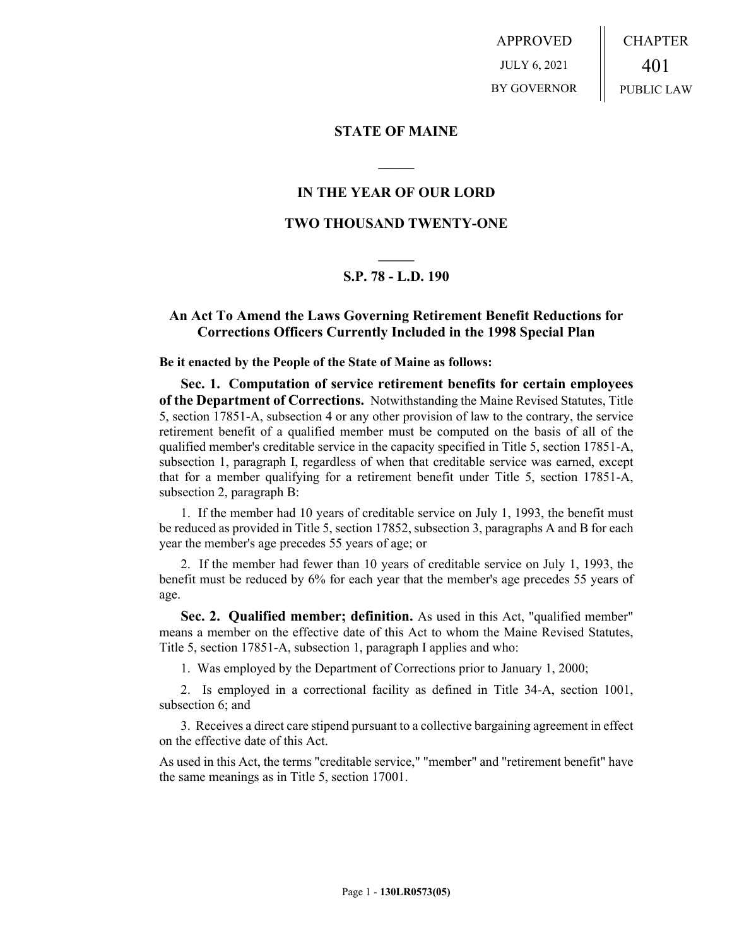APPROVED JULY 6, 2021 BY GOVERNOR CHAPTER 401 PUBLIC LAW

**STATE OF MAINE**

## **IN THE YEAR OF OUR LORD**

**\_\_\_\_\_**

### **TWO THOUSAND TWENTY-ONE**

# **\_\_\_\_\_ S.P. 78 - L.D. 190**

### **An Act To Amend the Laws Governing Retirement Benefit Reductions for Corrections Officers Currently Included in the 1998 Special Plan**

**Be it enacted by the People of the State of Maine as follows:**

**Sec. 1. Computation of service retirement benefits for certain employees of the Department of Corrections.** Notwithstanding the Maine Revised Statutes, Title 5, section 17851-A, subsection 4 or any other provision of law to the contrary, the service retirement benefit of a qualified member must be computed on the basis of all of the qualified member's creditable service in the capacity specified in Title 5, section 17851-A, subsection 1, paragraph I, regardless of when that creditable service was earned, except that for a member qualifying for a retirement benefit under Title 5, section 17851-A, subsection 2, paragraph B:

1. If the member had 10 years of creditable service on July 1, 1993, the benefit must be reduced as provided in Title 5, section 17852, subsection 3, paragraphs A and B for each year the member's age precedes 55 years of age; or

2. If the member had fewer than 10 years of creditable service on July 1, 1993, the benefit must be reduced by 6% for each year that the member's age precedes 55 years of age.

**Sec. 2. Qualified member; definition.** As used in this Act, "qualified member" means a member on the effective date of this Act to whom the Maine Revised Statutes, Title 5, section 17851-A, subsection 1, paragraph I applies and who:

1. Was employed by the Department of Corrections prior to January 1, 2000;

2. Is employed in a correctional facility as defined in Title 34-A, section 1001, subsection 6; and

3. Receives a direct care stipend pursuant to a collective bargaining agreement in effect on the effective date of this Act.

As used in this Act, the terms "creditable service," "member" and "retirement benefit" have the same meanings as in Title 5, section 17001.